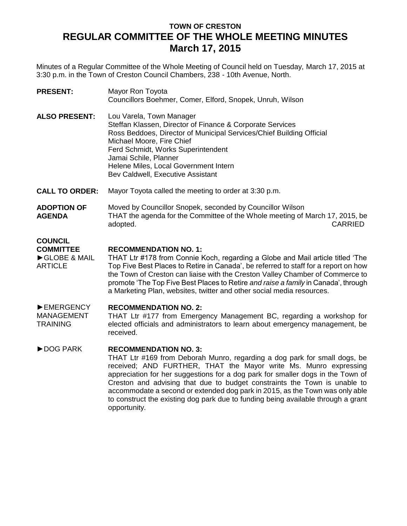# **TOWN OF CRESTON REGULAR COMMITTEE OF THE WHOLE MEETING MINUTES March 17, 2015**

Minutes of a Regular Committee of the Whole Meeting of Council held on Tuesday, March 17, 2015 at 3:30 p.m. in the Town of Creston Council Chambers, 238 - 10th Avenue, North.

| <b>PRESENT:</b>                                                      | Mayor Ron Toyota<br>Councillors Boehmer, Comer, Elford, Snopek, Unruh, Wilson                                                                                                                                                                                                                                                                                                                                                                                                                                      |
|----------------------------------------------------------------------|--------------------------------------------------------------------------------------------------------------------------------------------------------------------------------------------------------------------------------------------------------------------------------------------------------------------------------------------------------------------------------------------------------------------------------------------------------------------------------------------------------------------|
| <b>ALSO PRESENT:</b>                                                 | Lou Varela, Town Manager<br>Steffan Klassen, Director of Finance & Corporate Services<br>Ross Beddoes, Director of Municipal Services/Chief Building Official<br>Michael Moore, Fire Chief<br>Ferd Schmidt, Works Superintendent<br>Jamai Schile, Planner<br>Helene Miles, Local Government Intern<br>Bev Caldwell, Executive Assistant                                                                                                                                                                            |
| <b>CALL TO ORDER:</b>                                                | Mayor Toyota called the meeting to order at 3:30 p.m.                                                                                                                                                                                                                                                                                                                                                                                                                                                              |
| <b>ADOPTION OF</b><br><b>AGENDA</b>                                  | Moved by Councillor Snopek, seconded by Councillor Wilson<br>THAT the agenda for the Committee of the Whole meeting of March 17, 2015, be<br><b>CARRIED</b><br>adopted.                                                                                                                                                                                                                                                                                                                                            |
| <b>COUNCIL</b><br><b>COMMITTEE</b><br>GLOBE & MAIL<br><b>ARTICLE</b> | <b>RECOMMENDATION NO. 1:</b><br>THAT Ltr #178 from Connie Koch, regarding a Globe and Mail article titled 'The<br>Top Five Best Places to Retire in Canada', be referred to staff for a report on how<br>the Town of Creston can liaise with the Creston Valley Chamber of Commerce to<br>promote 'The Top Five Best Places to Retire and raise a family in Canada', through<br>a Marketing Plan, websites, twitter and other social media resources.                                                              |
| EMERGENCY<br><b>MANAGEMENT</b><br><b>TRAINING</b>                    | <b>RECOMMENDATION NO. 2:</b><br>THAT Ltr #177 from Emergency Management BC, regarding a workshop for<br>elected officials and administrators to learn about emergency management, be<br>received.                                                                                                                                                                                                                                                                                                                  |
| DOG PARK                                                             | <b>RECOMMENDATION NO. 3:</b><br>THAT Ltr #169 from Deborah Munro, regarding a dog park for small dogs, be<br>received; AND FURTHER, THAT the Mayor write Ms. Munro expressing<br>appreciation for her suggestions for a dog park for smaller dogs in the Town of<br>Creston and advising that due to budget constraints the Town is unable to<br>accommodate a second or extended dog park in 2015, as the Town was only able<br>to construct the existing dog park due to funding being available through a grant |

opportunity.